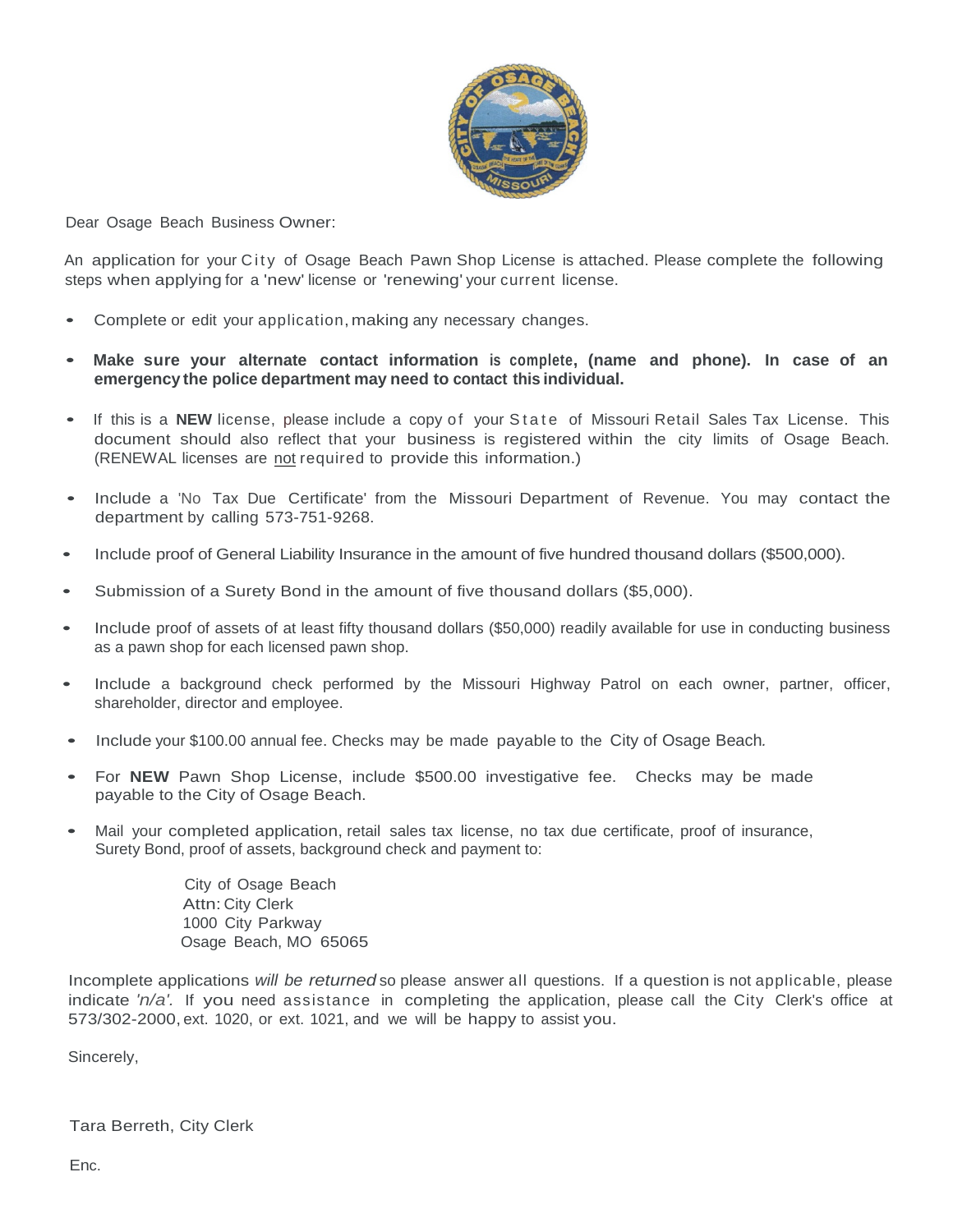

Dear Osage Beach Business Owner:

An application for your City of Osage Beach Pawn Shop License is attached. Please complete the following steps when applying for a 'new' license or 'renewing' your current license.

- Complete or edit your application, making any necessary changes.
- **Make sure your alternate contact information is complete, (name and phone). In case of an emergency the police department may need to contact this individual.**
- If this is a NEW license, please include a copy of your State of Missouri Retail Sales Tax License. This document should also reflect that your business is registered within the city limits of Osage Beach. (RENEWAL licenses are not required to provide this information.)
- Include <sup>a</sup> 'No Tax Due Certificate' from the Missouri Department of Revenue. You may contact the department by calling 573-751-9268.
- Include proof of General Liability Insurance in the amount of five hundred thousand dollars (\$500,000).
- Submission of a Surety Bond in the amount of five thousand dollars (\$5,000).
- Include proof of assets of at least fifty thousand dollars (\$50,000) readily available for use in conducting business as a pawn shop for each licensed pawn shop.
- Include a background check performed by the Missouri Highway Patrol on each owner, partner, officer, shareholder, director and employee.
- Include your \$100.00 annual fee. Checks may be made payable to the City of Osage Beach*.*
- For **NEW** Pawn Shop License, include \$500.00 investigative fee. Checks may be made payable to the City of Osage Beach.
- Mail your completed application, retail sales tax license, no tax due certificate, proof of insurance, Surety Bond, proof of assets, background check and payment to:

City of Osage Beach Attn: City Clerk 1000 City Parkway Osage Beach, MO 65065

Incomplete applications *will be returned* so please answer all questions. If a question is not applicable, please indicate *'n/a'.* If you need assistance in completing the application, please call the City Clerk's office at 573/302-2000, ext. 1020, or ext. 1021, and we will be happy to assist you.

Sincerely,

Tara Berreth, City Clerk

Enc.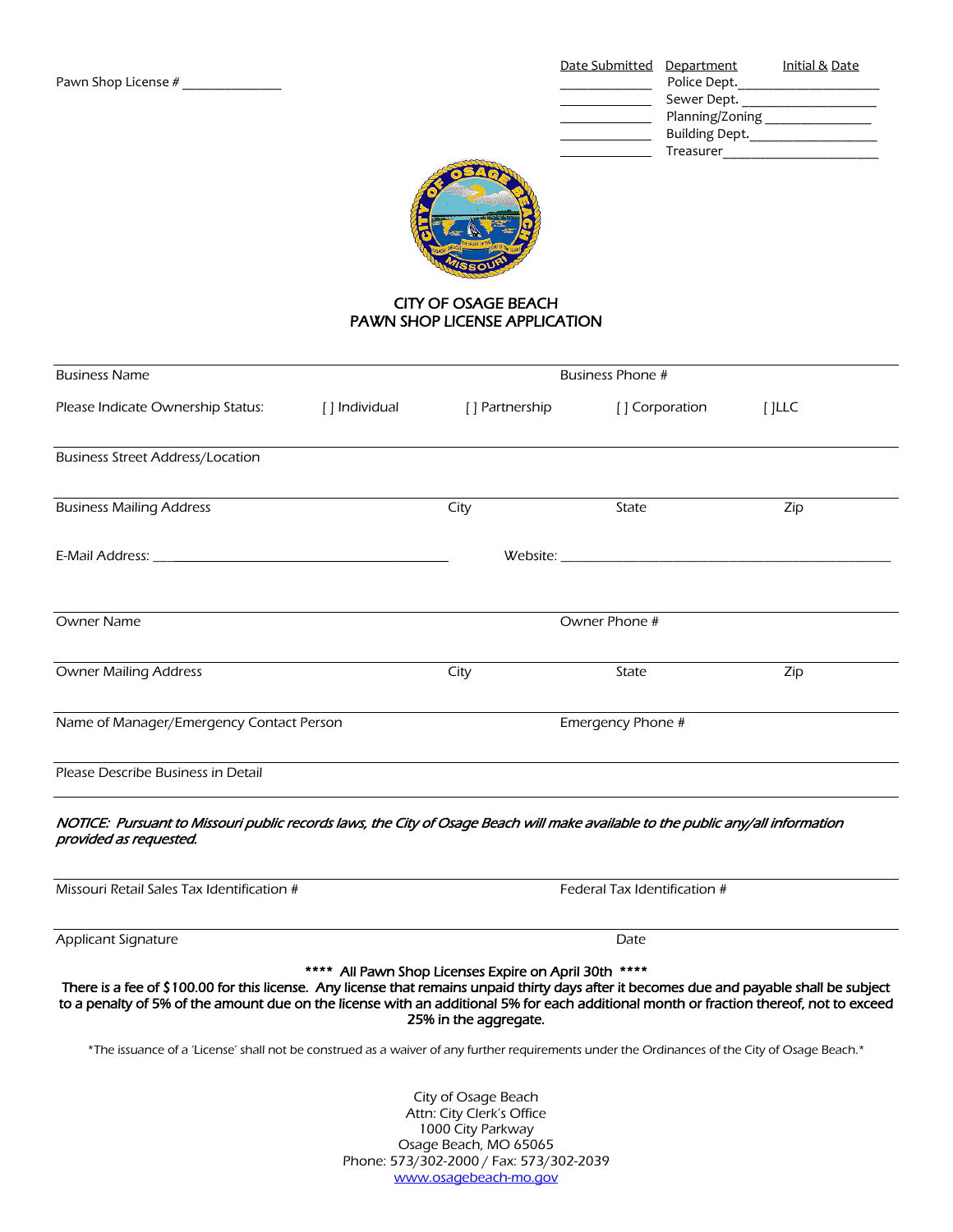|                     | Date Submitted Department |                 | Initial & Date |
|---------------------|---------------------------|-----------------|----------------|
| Pawn Shop License # |                           | Police Dept.    |                |
|                     |                           | Sewer Dept.     |                |
|                     |                           | Planning/Zoning |                |
|                     |                           | Building Dept.  |                |
|                     |                           | Treasurer       |                |



## CITY OF OSAGE BEACH PAWN SHOP LICENSE APPLICATION

| <b>Business Name</b>                                                                                                                                                                                                                                                                 |               | Business Phone #                                                               |                                                                                                                                                                                                                               |          |  |
|--------------------------------------------------------------------------------------------------------------------------------------------------------------------------------------------------------------------------------------------------------------------------------------|---------------|--------------------------------------------------------------------------------|-------------------------------------------------------------------------------------------------------------------------------------------------------------------------------------------------------------------------------|----------|--|
| Please Indicate Ownership Status:                                                                                                                                                                                                                                                    | [] Individual | [] Partnership                                                                 | [] Corporation                                                                                                                                                                                                                | $[$ ]LLC |  |
| <b>Business Street Address/Location</b>                                                                                                                                                                                                                                              |               |                                                                                |                                                                                                                                                                                                                               |          |  |
| <b>Business Mailing Address</b>                                                                                                                                                                                                                                                      |               | City                                                                           | State                                                                                                                                                                                                                         | Zip      |  |
| E-Mail Address: New York and the Communication of the Communication of the Communication of the Communication                                                                                                                                                                        |               |                                                                                | Website: when the contract of the contract of the contract of the contract of the contract of the contract of the contract of the contract of the contract of the contract of the contract of the contract of the contract of |          |  |
| <b>Owner Name</b>                                                                                                                                                                                                                                                                    |               | Owner Phone #                                                                  |                                                                                                                                                                                                                               |          |  |
| <b>Owner Mailing Address</b>                                                                                                                                                                                                                                                         |               | City                                                                           | State                                                                                                                                                                                                                         | Zip      |  |
| Name of Manager/Emergency Contact Person                                                                                                                                                                                                                                             |               |                                                                                | Emergency Phone #                                                                                                                                                                                                             |          |  |
| Please Describe Business in Detail                                                                                                                                                                                                                                                   |               |                                                                                |                                                                                                                                                                                                                               |          |  |
| NOTICE: Pursuant to Missouri public records laws, the City of Osage Beach will make available to the public any/all information<br>provided as requested.                                                                                                                            |               |                                                                                |                                                                                                                                                                                                                               |          |  |
| Missouri Retail Sales Tax Identification #                                                                                                                                                                                                                                           |               | Federal Tax Identification #                                                   |                                                                                                                                                                                                                               |          |  |
| Applicant Signature                                                                                                                                                                                                                                                                  |               | Date                                                                           |                                                                                                                                                                                                                               |          |  |
| There is a fee of \$100.00 for this license. Any license that remains unpaid thirty days after it becomes due and payable shall be subject<br>to a penalty of 5% of the amount due on the license with an additional 5% for each additional month or fraction thereof, not to exceed |               | **** All Pawn Shop Licenses Expire on April 30th ****<br>25% in the aggregate. |                                                                                                                                                                                                                               |          |  |
| *The issuance of a 'License' shall not be construed as a waiver of any further requirements under the Ordinances of the City of Osage Beach.*                                                                                                                                        |               |                                                                                |                                                                                                                                                                                                                               |          |  |

City of Osage Beach Attn: City Clerk's Office 1000 City Parkway Osage Beach, MO 65065 Phone: 573/302-2000 / Fax: 573/302-2039 [www.osagebeach-mo.gov](http://www.osagebeach-mo.gov/)